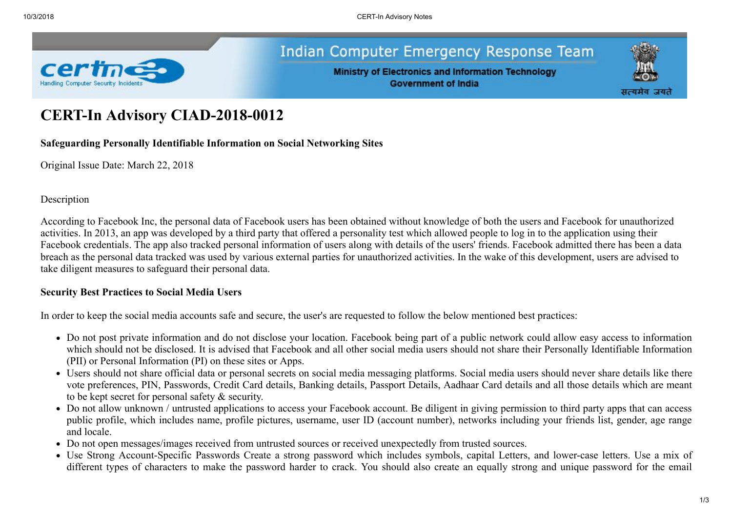

## **Indian Computer Emergency Response Team**

**Ministry of Electronics and Information Technology Government of India** 



# **CERT-In Advisory CIAD-2018-0012**

**Safeguarding Personally Identifiable Information on Social Networking Sites**

Original Issue Date: March 22, 2018

Description

According to Facebook Inc, the personal data of Facebook users has been obtained without knowledge of both the users and Facebook for unauthorized activities. In 2013, an app was developed by a third party that offered a personality test which allowed people to log in to the application using their Facebook credentials. The app also tracked personal information of users along with details of the users' friends. Facebook admitted there has been a data breach as the personal data tracked was used by various external parties for unauthorized activities. In the wake of this development, users are advised to take diligent measures to safeguard their personal data.

## **Security Best Practices to Social Media Users**

In order to keep the social media accounts safe and secure, the user's are requested to follow the below mentioned best practices:

- Do not post private information and do not disclose your location. Facebook being part of a public network could allow easy access to information which should not be disclosed. It is advised that Facebook and all other social media users should not share their Personally Identifiable Information (PII) or Personal Information (PI) on these sites or Apps.
- Users should not share official data or personal secrets on social media messaging platforms. Social media users should never share details like there vote preferences, PIN, Passwords, Credit Card details, Banking details, Passport Details, Aadhaar Card details and all those details which are meant to be kept secret for personal safety & security.
- Do not allow unknown / untrusted applications to access your Facebook account. Be diligent in giving permission to third party apps that can access public profile, which includes name, profile pictures, username, user ID (account number), networks including your friends list, gender, age range and locale.
- Do not open messages/images received from untrusted sources or received unexpectedly from trusted sources.
- Use Strong Account-Specific Passwords Create a strong password which includes symbols, capital Letters, and lower-case letters. Use a mix of different types of characters to make the password harder to crack. You should also create an equally strong and unique password for the email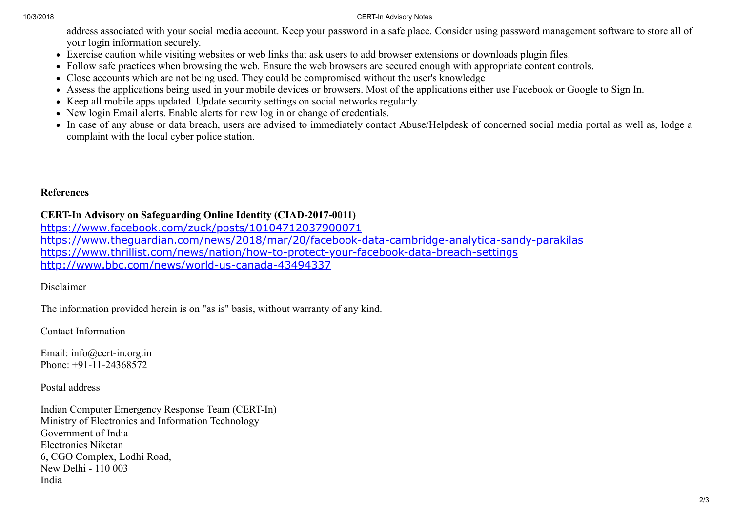#### 10/3/2018 CERT-In Advisory Notes

address associated with your social media account. Keep your password in a safe place. Consider using password management software to store all of your login information securely.

- Exercise caution while visiting websites or web links that ask users to add browser extensions or downloads plugin files.
- Follow safe practices when browsing the web. Ensure the web browsers are secured enough with appropriate content controls.
- Close accounts which are not being used. They could be compromised without the user's knowledge
- Assess the applications being used in your mobile devices or browsers. Most of the applications either use Facebook or Google to Sign In.
- Keep all mobile apps updated. Update security settings on social networks regularly.
- New login Email alerts. Enable alerts for new log in or change of credentials.
- In case of any abuse or data breach, users are advised to immediately contact Abuse/Helpdesk of concerned social media portal as well as, lodge a complaint with the local cyber police station.

### **References**

## **CERT-In Advisory on Safeguarding Online Identity (CIAD-2017-0011)**

<https://www.facebook.com/zuck/posts/10104712037900071> <https://www.theguardian.com/news/2018/mar/20/facebook-data-cambridge-analytica-sandy-parakilas> <https://www.thrillist.com/news/nation/how-to-protect-your-facebook-data-breach-settings> <http://www.bbc.com/news/world-us-canada-43494337>

Disclaimer

The information provided herein is on "as is" basis, without warranty of any kind.

Contact Information

Email: info@cert-in.org.in Phone: +91-11-24368572

Postal address

Indian Computer Emergency Response Team (CERT-In) Ministry of Electronics and Information Technology Government of India Electronics Niketan 6, CGO Complex, Lodhi Road, New Delhi - 110 003 India